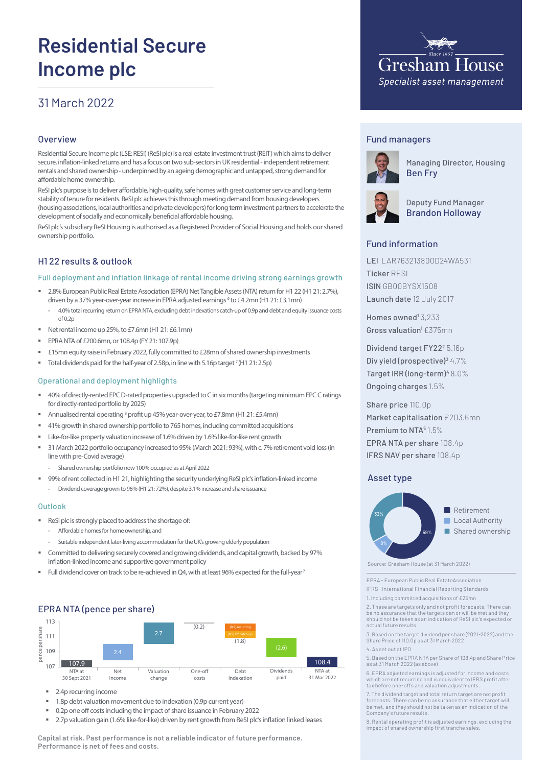# **Residential Secure Income plc**

# 31 March 2022

#### **Overview**

Residential Secure Income plc (LSE: RESI) (ReSI plc) is a real estate investment trust (REIT) which aims to deliver secure, inflation-linked returns and has a focus on two sub-sectors in UK residential - independent retirement rentals and shared ownership - underpinned by an ageing demographic and untapped, strong demand for affordable home ownership.

ReSI plc's purpose is to deliver affordable, high-quality, safe homes with great customer service and long-term stability of tenure for residents. ReSI plc achieves this through meeting demand from housing developers (housing associations, local authorities and private developers) for long term investment partners to accelerate the development of socially and economically beneficial affordable housing.

ReSI plc's subsidiary ReSI Housing is authorised as a Registered Provider of Social Housing and holds our shared ownership portfolio.

# H1 22 results & outlook

#### Full deployment and inflation linkage of rental income driving strong earnings growth

- 2.8% European Public Real Estate Association (EPRA) Net Tangible Assets (NTA) return for H1 22 (H1 21: 2.7%), driven by a 37% year-over-year increase in EPRA adjusted earnings <sup>6</sup> to £4.2mn (H1 21: £3.1mn)
	- 4.0% total recurring return on EPRA NTA, excluding debt indexations catch-up of 0.9p and debt and equity issuance costs of 0.2p
- Net rental income up 25%, to £7.6mn (H1 21: £6.1mn)
- **EPRA NTA of £200.6mn, or 108.4p (FY 21: 107.9p)**
- £15mn equity raise in February 2022, fully committed to £28mn of shared ownership investments
- Total dividends paid for the half-year of 2.58p, in line with 5.16p target  $7$  (H1 21: 2.5p)

#### Operational and deployment highlights

- 40% of directly-rented EPC D-rated properties upgraded to C in six months (targeting minimum EPC C ratings for directly-rented portfolio by 2025)
- Annualised rental operating<sup>8</sup> profit up 45% year-over-year, to £7.8mn (H1 21: £5.4mn)
- 41% growth in shared ownership portfolio to 765 homes, including committed acquisitions
- **EXECT** Like-for-like property valuation increase of 1.6% driven by 1.6% like-for-like rent growth
- 31 March 2022 portfolio occupancy increased to 95% (March 2021: 93%), with c. 7% retirement void loss (in line with pre-Covid average)
	- Shared ownership portfolio now 100% occupied as at April 2022
- 99% of rent collected in H1 21, highlighting the security underlying ReSI plc's inflation-linked income
- Dividend coverage grown to 96% (H1 21: 72%), despite 3.1% increase and share issuance

#### Outlook

- ReSI plc is strongly placed to address the shortage of:
	- Affordable homes for home ownership, and
- Suitable independent later-living accommodation for the UK's growing elderly population
- **EXEDENT Committed to delivering securely covered and growing dividends, and capital growth, backed by 97%** inflation-linked income and supportive government policy
- Full dividend cover on track to be re-achieved in Q4, with at least 96% expected for the full-year<sup>7</sup>

## EPRA NTA (pence per share)



- 2.4p recurring income
- 1.8p debt valuation movement due to indexation (0.9p current year)
- 0.2p one off costs including the impact of share issuance in February 2022
- 2.7p valuation gain (1.6% like-for-like) driven by rent growth from ReSI plc's inflation linked leases

**Capital at risk. Past performance is not a reliable indicator of future performance. Performance is net of fees and costs.** 



#### Fund managers



Managing Director, Housing Ben Fry



Deputy Fund Manager Brandon Holloway

## Fund information

LEI LAR763213800D24WA531 Ticker RESI ISIN GB00BYSX1508 Launch date 12 July 2017

Homes owned<sup>1</sup> 3,233 Gross valuation<sup>1</sup> £375mn

Dividend target FY22<sup>2</sup> 5.16p Div yield (prospective)<sup>3</sup> 4.7% Target IRR (long-term)<sup>4</sup> 8.0% Ongoing charges 1.5%

Share price 110.0p Market capitalisation £203.6mn Premium to NTA<sup>5</sup> 1.5% EPRA NTA per share 108.4p IFRS NAV per share 108.4p

#### Asset type



Source: Gresham House (at 31 March 2022)

EPRA - European Public Real EstateAssociation IFRS - International Financial Reporting Standards

1. Including committed acquisitions of £25mn

2. These are targets only and not profit forecasts. There can be no assurance that the targets can or will be met and they should not be taken as an indication of ReSI plc's expected or actual future results

3. Based on the target dividend per share (2021-2022) and the Share Price of 110.0p as at 31 March 2022

4. As set out at IPO

5. Based on the EPRA NTA per Share of 108.4p and Share Price as at 31 March 2022 (as above)

6. EPRA adjusted earnings is adjusted for income and costs which are not recurring and is equivalent to IFRS profit after tax before one-offs and valuation adjustments.

7. The dividend target and total return target are not profit forecasts. There can be no assurance that either target will be met, and they should not be taken as an indication of the Company's future results.

8. Rental operating profit is adjusted earnings, excluding the impact of shared ownership first tranche sales.